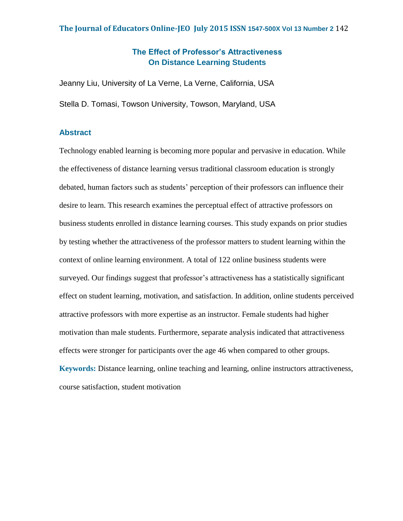## **The Effect of Professor's Attractiveness On Distance Learning Students**

Jeanny Liu, University of La Verne, La Verne, California, USA Stella D. Tomasi, Towson University, Towson, Maryland, USA

## **Abstract**

Technology enabled learning is becoming more popular and pervasive in education. While the effectiveness of distance learning versus traditional classroom education is strongly debated, human factors such as students' perception of their professors can influence their desire to learn. This research examines the perceptual effect of attractive professors on business students enrolled in distance learning courses. This study expands on prior studies by testing whether the attractiveness of the professor matters to student learning within the context of online learning environment. A total of 122 online business students were surveyed. Our findings suggest that professor's attractiveness has a statistically significant effect on student learning, motivation, and satisfaction. In addition, online students perceived attractive professors with more expertise as an instructor. Female students had higher motivation than male students. Furthermore, separate analysis indicated that attractiveness effects were stronger for participants over the age 46 when compared to other groups. **Keywords:** Distance learning, online teaching and learning, online instructors attractiveness,

course satisfaction, student motivation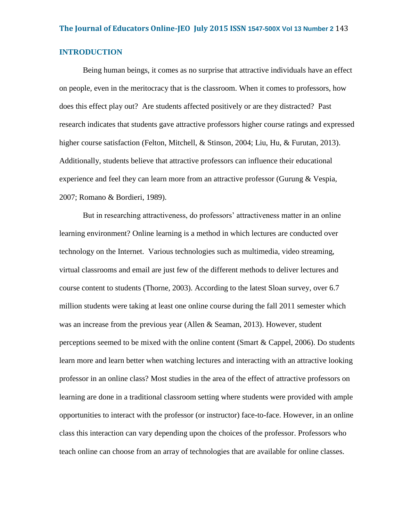## **INTRODUCTION**

Being human beings, it comes as no surprise that attractive individuals have an effect on people, even in the meritocracy that is the classroom. When it comes to professors, how does this effect play out? Are students affected positively or are they distracted? Past research indicates that students gave attractive professors higher course ratings and expressed higher course satisfaction (Felton, Mitchell, & Stinson, 2004; Liu, Hu, & Furutan, 2013). Additionally, students believe that attractive professors can influence their educational experience and feel they can learn more from an attractive professor (Gurung & Vespia, 2007; Romano & Bordieri, 1989).

But in researching attractiveness, do professors' attractiveness matter in an online learning environment? Online learning is a method in which lectures are conducted over technology on the Internet. Various technologies such as multimedia, video streaming, virtual classrooms and email are just few of the different methods to deliver lectures and course content to students (Thorne, 2003). According to the latest Sloan survey, over 6.7 million students were taking at least one online course during the fall 2011 semester which was an increase from the previous year (Allen & Seaman, 2013). However, student perceptions seemed to be mixed with the online content (Smart & Cappel, 2006). Do students learn more and learn better when watching lectures and interacting with an attractive looking professor in an online class? Most studies in the area of the effect of attractive professors on learning are done in a traditional classroom setting where students were provided with ample opportunities to interact with the professor (or instructor) face-to-face. However, in an online class this interaction can vary depending upon the choices of the professor. Professors who teach online can choose from an array of technologies that are available for online classes.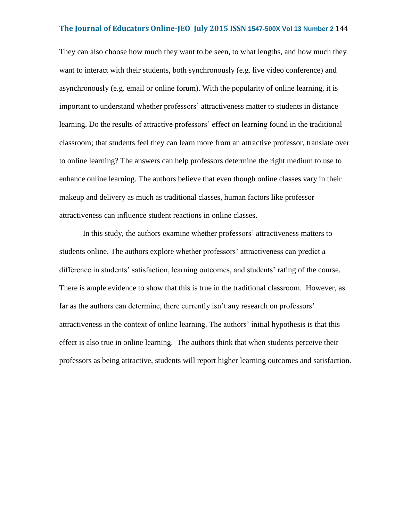They can also choose how much they want to be seen, to what lengths, and how much they want to interact with their students, both synchronously (e.g. live video conference) and asynchronously (e.g. email or online forum). With the popularity of online learning, it is important to understand whether professors' attractiveness matter to students in distance learning. Do the results of attractive professors' effect on learning found in the traditional classroom; that students feel they can learn more from an attractive professor, translate over to online learning? The answers can help professors determine the right medium to use to enhance online learning. The authors believe that even though online classes vary in their makeup and delivery as much as traditional classes, human factors like professor attractiveness can influence student reactions in online classes.

In this study, the authors examine whether professors' attractiveness matters to students online. The authors explore whether professors' attractiveness can predict a difference in students' satisfaction, learning outcomes, and students' rating of the course. There is ample evidence to show that this is true in the traditional classroom. However, as far as the authors can determine, there currently isn't any research on professors' attractiveness in the context of online learning. The authors' initial hypothesis is that this effect is also true in online learning. The authors think that when students perceive their professors as being attractive, students will report higher learning outcomes and satisfaction.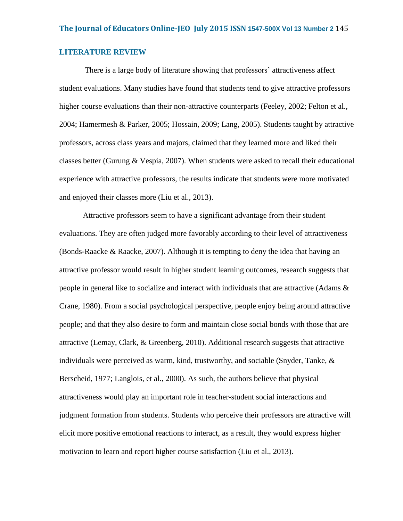## **LITERATURE REVIEW**

There is a large body of literature showing that professors' attractiveness affect student evaluations. Many studies have found that students tend to give attractive professors higher course evaluations than their non-attractive counterparts (Feeley, 2002; Felton et al., 2004; Hamermesh & Parker, 2005; Hossain, 2009; Lang, 2005). Students taught by attractive professors, across class years and majors, claimed that they learned more and liked their classes better (Gurung  $& Vespia, 2007$ ). When students were asked to recall their educational experience with attractive professors, the results indicate that students were more motivated and enjoyed their classes more (Liu et al., 2013).

Attractive professors seem to have a significant advantage from their student evaluations. They are often judged more favorably according to their level of attractiveness (Bonds-Raacke & Raacke, 2007). Although it is tempting to deny the idea that having an attractive professor would result in higher student learning outcomes, research suggests that people in general like to socialize and interact with individuals that are attractive (Adams  $\&$ Crane, 1980). From a social psychological perspective, people enjoy being around attractive people; and that they also desire to form and maintain close social bonds with those that are attractive (Lemay, Clark, & Greenberg, 2010). Additional research suggests that attractive individuals were perceived as warm, kind, trustworthy, and sociable (Snyder, Tanke,  $\&$ Berscheid, 1977; Langlois, et al., 2000). As such, the authors believe that physical attractiveness would play an important role in teacher-student social interactions and judgment formation from students. Students who perceive their professors are attractive will elicit more positive emotional reactions to interact, as a result, they would express higher motivation to learn and report higher course satisfaction (Liu et al., 2013).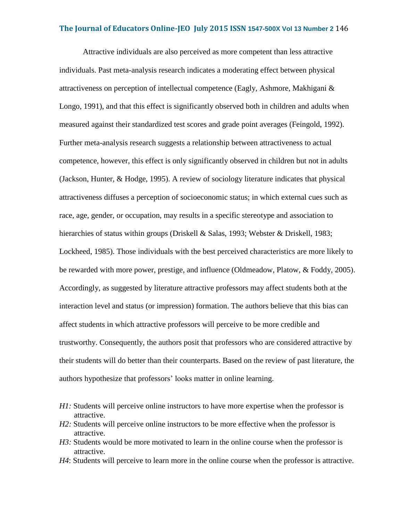Attractive individuals are also perceived as more competent than less attractive individuals. Past meta-analysis research indicates a moderating effect between physical attractiveness on perception of intellectual competence (Eagly, Ashmore, Makhigani & Longo, 1991), and that this effect is significantly observed both in children and adults when measured against their standardized test scores and grade point averages (Feingold, 1992). Further meta-analysis research suggests a relationship between attractiveness to actual competence, however, this effect is only significantly observed in children but not in adults (Jackson, Hunter, & Hodge, 1995). A review of sociology literature indicates that physical attractiveness diffuses a perception of socioeconomic status; in which external cues such as race, age, gender, or occupation, may results in a specific stereotype and association to hierarchies of status within groups (Driskell & Salas, 1993; Webster & Driskell, 1983; Lockheed, 1985). Those individuals with the best perceived characteristics are more likely to be rewarded with more power, prestige, and influence (Oldmeadow, Platow, & Foddy, 2005). Accordingly, as suggested by literature attractive professors may affect students both at the interaction level and status (or impression) formation. The authors believe that this bias can affect students in which attractive professors will perceive to be more credible and trustworthy. Consequently, the authors posit that professors who are considered attractive by their students will do better than their counterparts. Based on the review of past literature, the authors hypothesize that professors' looks matter in online learning.

- *H1*: Students will perceive online instructors to have more expertise when the professor is attractive.
- *H2:* Students will perceive online instructors to be more effective when the professor is attractive.
- *H3:* Students would be more motivated to learn in the online course when the professor is attractive.
- *H4*: Students will perceive to learn more in the online course when the professor is attractive.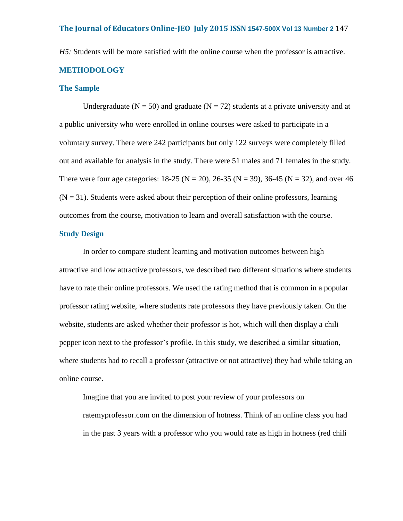*H5:* Students will be more satisfied with the online course when the professor is attractive.

## **METHODOLOGY**

## **The Sample**

Undergraduate ( $N = 50$ ) and graduate ( $N = 72$ ) students at a private university and at a public university who were enrolled in online courses were asked to participate in a voluntary survey. There were 242 participants but only 122 surveys were completely filled out and available for analysis in the study. There were 51 males and 71 females in the study. There were four age categories:  $18-25$  (N = 20), 26-35 (N = 39), 36-45 (N = 32), and over 46  $(N = 31)$ . Students were asked about their perception of their online professors, learning outcomes from the course, motivation to learn and overall satisfaction with the course.

## **Study Design**

In order to compare student learning and motivation outcomes between high attractive and low attractive professors, we described two different situations where students have to rate their online professors. We used the rating method that is common in a popular professor rating website, where students rate professors they have previously taken. On the website, students are asked whether their professor is hot, which will then display a chili pepper icon next to the professor's profile. In this study, we described a similar situation, where students had to recall a professor (attractive or not attractive) they had while taking an online course.

Imagine that you are invited to post your review of your professors on ratemyprofessor.com on the dimension of hotness. Think of an online class you had in the past 3 years with a professor who you would rate as high in hotness (red chili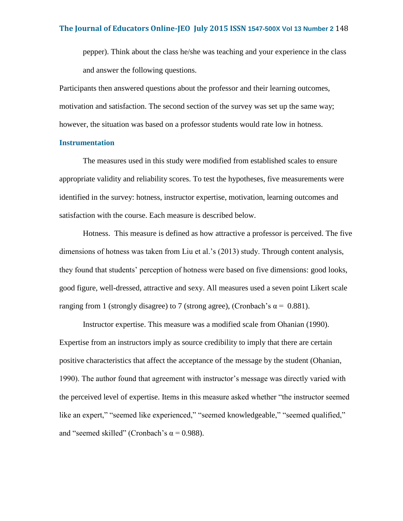pepper). Think about the class he/she was teaching and your experience in the class and answer the following questions.

Participants then answered questions about the professor and their learning outcomes, motivation and satisfaction. The second section of the survey was set up the same way; however, the situation was based on a professor students would rate low in hotness.

### **Instrumentation**

The measures used in this study were modified from established scales to ensure appropriate validity and reliability scores. To test the hypotheses, five measurements were identified in the survey: hotness, instructor expertise, motivation, learning outcomes and satisfaction with the course. Each measure is described below.

Hotness. This measure is defined as how attractive a professor is perceived. The five dimensions of hotness was taken from Liu et al.'s (2013) study. Through content analysis, they found that students' perception of hotness were based on five dimensions: good looks, good figure, well-dressed, attractive and sexy. All measures used a seven point Likert scale ranging from 1 (strongly disagree) to 7 (strong agree), (Cronbach's  $\alpha$  = 0.881).

Instructor expertise. This measure was a modified scale from Ohanian (1990). Expertise from an instructors imply as source credibility to imply that there are certain positive characteristics that affect the acceptance of the message by the student (Ohanian, 1990). The author found that agreement with instructor's message was directly varied with the perceived level of expertise. Items in this measure asked whether "the instructor seemed like an expert," "seemed like experienced," "seemed knowledgeable," "seemed qualified," and "seemed skilled" (Cronbach's  $\alpha$  = 0.988).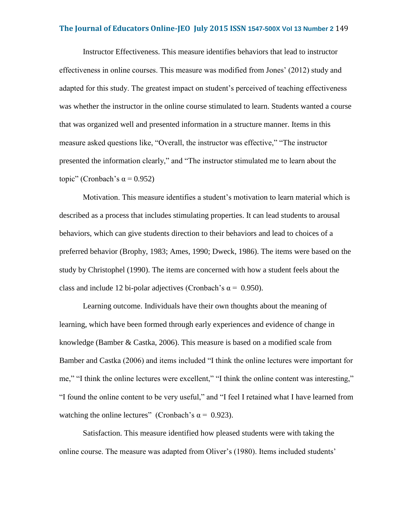Instructor Effectiveness. This measure identifies behaviors that lead to instructor effectiveness in online courses. This measure was modified from Jones' (2012) study and adapted for this study. The greatest impact on student's perceived of teaching effectiveness was whether the instructor in the online course stimulated to learn. Students wanted a course that was organized well and presented information in a structure manner. Items in this measure asked questions like, "Overall, the instructor was effective," "The instructor presented the information clearly," and "The instructor stimulated me to learn about the topic" (Cronbach's  $\alpha$  = 0.952)

Motivation. This measure identifies a student's motivation to learn material which is described as a process that includes stimulating properties. It can lead students to arousal behaviors, which can give students direction to their behaviors and lead to choices of a preferred behavior (Brophy, 1983; Ames, 1990; Dweck, 1986). The items were based on the study by Christophel (1990). The items are concerned with how a student feels about the class and include 12 bi-polar adjectives (Cronbach's  $\alpha$  = 0.950).

Learning outcome. Individuals have their own thoughts about the meaning of learning, which have been formed through early experiences and evidence of change in knowledge (Bamber & Castka, 2006). This measure is based on a modified scale from Bamber and Castka (2006) and items included "I think the online lectures were important for me," "I think the online lectures were excellent," "I think the online content was interesting," "I found the online content to be very useful," and "I feel I retained what I have learned from watching the online lectures" (Cronbach's  $\alpha = 0.923$ ).

Satisfaction. This measure identified how pleased students were with taking the online course. The measure was adapted from Oliver's (1980). Items included students'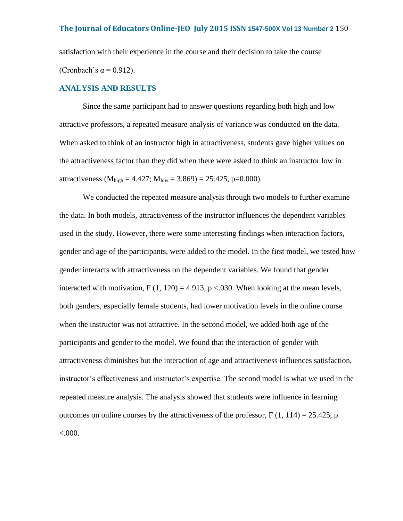satisfaction with their experience in the course and their decision to take the course (Cronbach's  $\alpha$  = 0.912).

## **ANALYSIS AND RESULTS**

Since the same participant had to answer questions regarding both high and low attractive professors, a repeated measure analysis of variance was conducted on the data. When asked to think of an instructor high in attractiveness, students gave higher values on the attractiveness factor than they did when there were asked to think an instructor low in attractiveness ( $M_{\text{high}} = 4.427$ ;  $M_{\text{low}} = 3.869$ ) = 25.425, p=0.000).

We conducted the repeated measure analysis through two models to further examine the data. In both models, attractiveness of the instructor influences the dependent variables used in the study. However, there were some interesting findings when interaction factors, gender and age of the participants, were added to the model. In the first model, we tested how gender interacts with attractiveness on the dependent variables. We found that gender interacted with motivation, F  $(1, 120) = 4.913$ , p < 0.030. When looking at the mean levels, both genders, especially female students, had lower motivation levels in the online course when the instructor was not attractive. In the second model, we added both age of the participants and gender to the model. We found that the interaction of gender with attractiveness diminishes but the interaction of age and attractiveness influences satisfaction, instructor's effectiveness and instructor's expertise. The second model is what we used in the repeated measure analysis. The analysis showed that students were influence in learning outcomes on online courses by the attractiveness of the professor,  $F(1, 114) = 25.425$ , p  $< 0.000$ .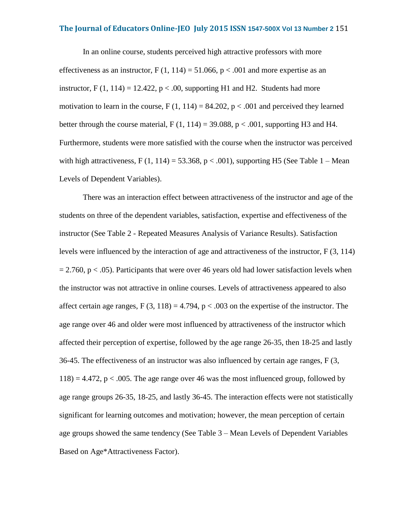In an online course, students perceived high attractive professors with more effectiveness as an instructor,  $F(1, 114) = 51.066$ ,  $p < .001$  and more expertise as an instructor, F  $(1, 114) = 12.422$ , p < .00, supporting H1 and H2. Students had more motivation to learn in the course,  $F(1, 114) = 84.202$ ,  $p < .001$  and perceived they learned better through the course material,  $F(1, 114) = 39.088$ ,  $p < .001$ , supporting H3 and H4. Furthermore, students were more satisfied with the course when the instructor was perceived with high attractiveness,  $F(1, 114) = 53.368$ ,  $p < .001$ ), supporting H5 (See Table 1 – Mean Levels of Dependent Variables).

There was an interaction effect between attractiveness of the instructor and age of the students on three of the dependent variables, satisfaction, expertise and effectiveness of the instructor (See Table 2 - Repeated Measures Analysis of Variance Results). Satisfaction levels were influenced by the interaction of age and attractiveness of the instructor, F (3, 114)  $= 2.760$ , p < .05). Participants that were over 46 years old had lower satisfaction levels when the instructor was not attractive in online courses. Levels of attractiveness appeared to also affect certain age ranges, F  $(3, 118) = 4.794$ , p < .003 on the expertise of the instructor. The age range over 46 and older were most influenced by attractiveness of the instructor which affected their perception of expertise, followed by the age range 26-35, then 18-25 and lastly 36-45. The effectiveness of an instructor was also influenced by certain age ranges,  $F(3, 1)$  $118$ ) = 4.472, p < .005. The age range over 46 was the most influenced group, followed by age range groups 26-35, 18-25, and lastly 36-45. The interaction effects were not statistically significant for learning outcomes and motivation; however, the mean perception of certain age groups showed the same tendency (See Table 3 – Mean Levels of Dependent Variables Based on Age\*Attractiveness Factor).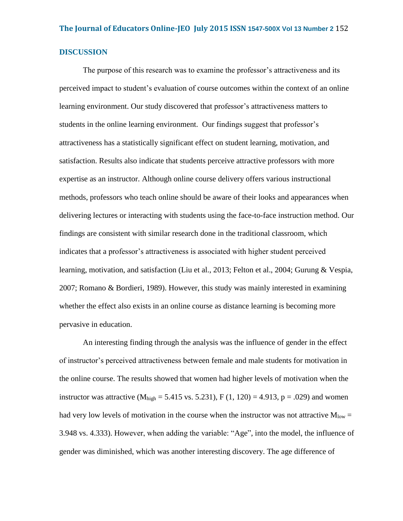## **DISCUSSION**

The purpose of this research was to examine the professor's attractiveness and its perceived impact to student's evaluation of course outcomes within the context of an online learning environment. Our study discovered that professor's attractiveness matters to students in the online learning environment. Our findings suggest that professor's attractiveness has a statistically significant effect on student learning, motivation, and satisfaction. Results also indicate that students perceive attractive professors with more expertise as an instructor. Although online course delivery offers various instructional methods, professors who teach online should be aware of their looks and appearances when delivering lectures or interacting with students using the face-to-face instruction method. Our findings are consistent with similar research done in the traditional classroom, which indicates that a professor's attractiveness is associated with higher student perceived learning, motivation, and satisfaction (Liu et al., 2013; Felton et al., 2004; Gurung & Vespia, 2007; Romano & Bordieri, 1989). However, this study was mainly interested in examining whether the effect also exists in an online course as distance learning is becoming more pervasive in education.

An interesting finding through the analysis was the influence of gender in the effect of instructor's perceived attractiveness between female and male students for motivation in the online course. The results showed that women had higher levels of motivation when the instructor was attractive ( $M_{high} = 5.415$  vs. 5.231), F (1, 120) = 4.913, p = .029) and women had very low levels of motivation in the course when the instructor was not attractive  $M_{\text{low}} =$ 3.948 vs. 4.333). However, when adding the variable: "Age", into the model, the influence of gender was diminished, which was another interesting discovery. The age difference of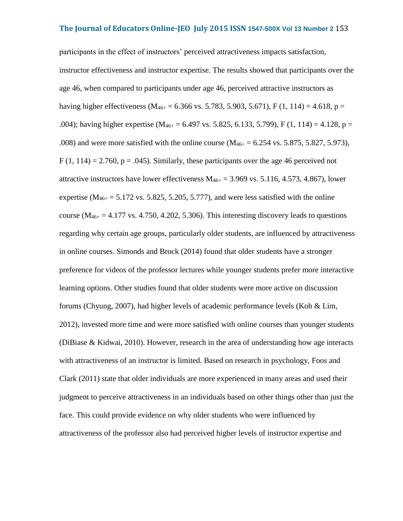participants in the effect of instructors' perceived attractiveness impacts satisfaction, instructor effectiveness and instructor expertise. The results showed that participants over the age 46, when compared to participants under age 46, perceived attractive instructors as having higher effectiveness ( $M_{46+}$  = 6.366 vs. 5.783, 5.903, 5.671), F (1, 114) = 4.618, p = .004); having higher expertise ( $M_{46+}$  = 6.497 vs. 5.825, 6.133, 5.799), F (1, 114) = 4.128, p = .008) and were more satisfied with the online course ( $M_{46+} = 6.254$  vs. 5.875, 5.827, 5.973),  $F(1, 114) = 2.760$ ,  $p = .045$ ). Similarly, these participants over the age 46 perceived not attractive instructors have lower effectiveness  $M_{46+} = 3.969$  vs. 5.116, 4.573, 4.867), lower expertise ( $M_{46+}$  = 5.172 vs. 5.825, 5.205, 5.777), and were less satisfied with the online course ( $M_{46+} = 4.177$  vs. 4.750, 4.202, 5.306). This interesting discovery leads to questions regarding why certain age groups, particularly older students, are influenced by attractiveness in online courses. Simonds and Brock (2014) found that older students have a stronger preference for videos of the professor lectures while younger students prefer more interactive learning options. Other studies found that older students were more active on discussion forums (Chyung, 2007), had higher levels of academic performance levels (Koh & Lim, 2012), invested more time and were more satisfied with online courses than younger students (DiBiase & Kidwai, 2010). However, research in the area of understanding how age interacts with attractiveness of an instructor is limited. Based on research in psychology, Foos and Clark (2011) state that older individuals are more experienced in many areas and used their judgment to perceive attractiveness in an individuals based on other things other than just the face. This could provide evidence on why older students who were influenced by attractiveness of the professor also had perceived higher levels of instructor expertise and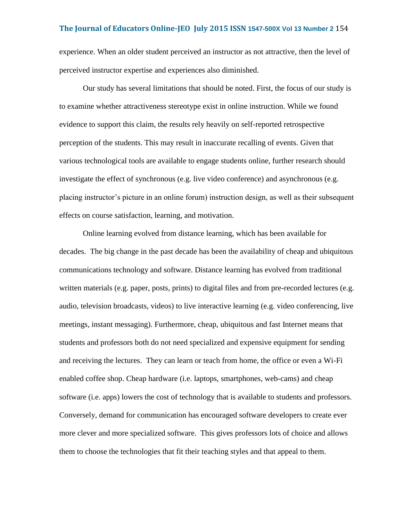experience. When an older student perceived an instructor as not attractive, then the level of perceived instructor expertise and experiences also diminished.

Our study has several limitations that should be noted. First, the focus of our study is to examine whether attractiveness stereotype exist in online instruction. While we found evidence to support this claim, the results rely heavily on self-reported retrospective perception of the students. This may result in inaccurate recalling of events. Given that various technological tools are available to engage students online, further research should investigate the effect of synchronous (e.g. live video conference) and asynchronous (e.g. placing instructor's picture in an online forum) instruction design, as well as their subsequent effects on course satisfaction, learning, and motivation.

Online learning evolved from distance learning, which has been available for decades. The big change in the past decade has been the availability of cheap and ubiquitous communications technology and software. Distance learning has evolved from traditional written materials (e.g. paper, posts, prints) to digital files and from pre-recorded lectures (e.g. audio, television broadcasts, videos) to live interactive learning (e.g. video conferencing, live meetings, instant messaging). Furthermore, cheap, ubiquitous and fast Internet means that students and professors both do not need specialized and expensive equipment for sending and receiving the lectures. They can learn or teach from home, the office or even a Wi-Fi enabled coffee shop. Cheap hardware (i.e. laptops, smartphones, web-cams) and cheap software (i.e. apps) lowers the cost of technology that is available to students and professors. Conversely, demand for communication has encouraged software developers to create ever more clever and more specialized software. This gives professors lots of choice and allows them to choose the technologies that fit their teaching styles and that appeal to them.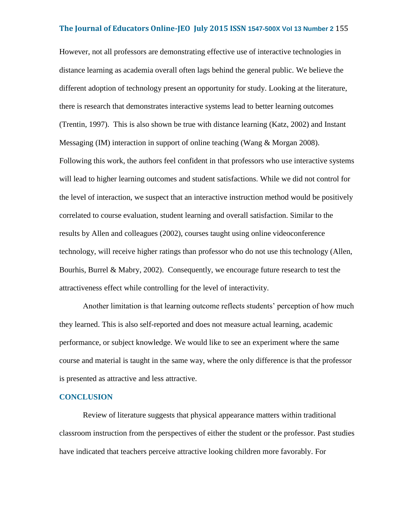However, not all professors are demonstrating effective use of interactive technologies in distance learning as academia overall often lags behind the general public. We believe the different adoption of technology present an opportunity for study. Looking at the literature, there is research that demonstrates interactive systems lead to better learning outcomes (Trentin, 1997). This is also shown be true with distance learning (Katz, 2002) and Instant Messaging (IM) interaction in support of online teaching (Wang & Morgan 2008). Following this work, the authors feel confident in that professors who use interactive systems will lead to higher learning outcomes and student satisfactions. While we did not control for the level of interaction, we suspect that an interactive instruction method would be positively correlated to course evaluation, student learning and overall satisfaction. Similar to the results by Allen and colleagues (2002), courses taught using online videoconference technology, will receive higher ratings than professor who do not use this technology (Allen, Bourhis, Burrel & Mabry, 2002). Consequently, we encourage future research to test the attractiveness effect while controlling for the level of interactivity.

Another limitation is that learning outcome reflects students' perception of how much they learned. This is also self-reported and does not measure actual learning, academic performance, or subject knowledge. We would like to see an experiment where the same course and material is taught in the same way, where the only difference is that the professor is presented as attractive and less attractive.

## **CONCLUSION**

Review of literature suggests that physical appearance matters within traditional classroom instruction from the perspectives of either the student or the professor. Past studies have indicated that teachers perceive attractive looking children more favorably. For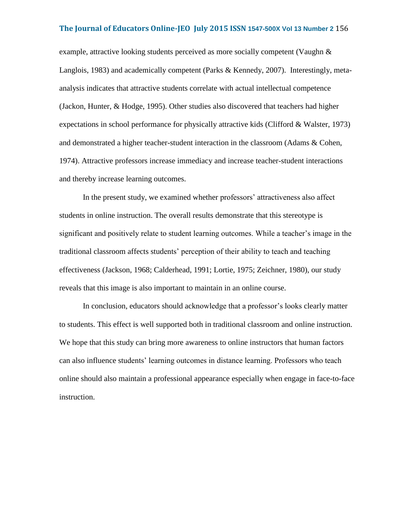example, attractive looking students perceived as more socially competent (Vaughn  $\&$ Langlois, 1983) and academically competent (Parks & Kennedy, 2007). Interestingly, metaanalysis indicates that attractive students correlate with actual intellectual competence (Jackon, Hunter, & Hodge, 1995). Other studies also discovered that teachers had higher expectations in school performance for physically attractive kids (Clifford & Walster, 1973) and demonstrated a higher teacher-student interaction in the classroom (Adams & Cohen, 1974). Attractive professors increase immediacy and increase teacher-student interactions and thereby increase learning outcomes.

In the present study, we examined whether professors' attractiveness also affect students in online instruction. The overall results demonstrate that this stereotype is significant and positively relate to student learning outcomes. While a teacher's image in the traditional classroom affects students' perception of their ability to teach and teaching effectiveness (Jackson, 1968; Calderhead, 1991; Lortie, 1975; Zeichner, 1980), our study reveals that this image is also important to maintain in an online course.

In conclusion, educators should acknowledge that a professor's looks clearly matter to students. This effect is well supported both in traditional classroom and online instruction. We hope that this study can bring more awareness to online instructors that human factors can also influence students' learning outcomes in distance learning. Professors who teach online should also maintain a professional appearance especially when engage in face-to-face instruction.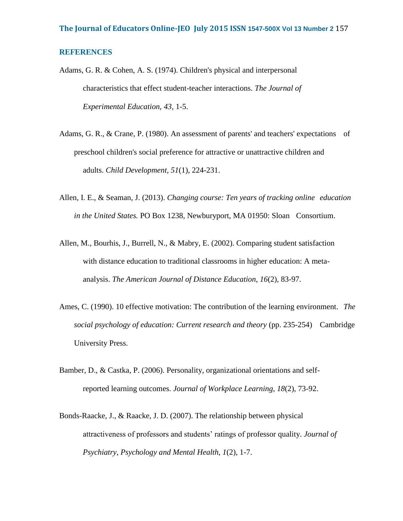## **REFERENCES**

- Adams, G. R. & Cohen, A. S. (1974). Children's physical and interpersonal characteristics that effect student-teacher interactions. *The Journal of Experimental Education, 43*, 1-5.
- Adams, G. R., & Crane, P. (1980). An assessment of parents' and teachers' expectations of preschool children's social preference for attractive or unattractive children and adults. *Child Development, 51*(1), 224-231.
- Allen, I. E., & Seaman, J. (2013). *Changing course: Ten years of tracking online education in the United States.* PO Box 1238, Newburyport, MA 01950: Sloan Consortium.
- Allen, M., Bourhis, J., Burrell, N., & Mabry, E. (2002). Comparing student satisfaction with distance education to traditional classrooms in higher education: A metaanalysis. *The American Journal of Distance Education, 16*(2), 83-97.
- Ames, C. (1990). 10 effective motivation: The contribution of the learning environment. *The social psychology of education: Current research and theory* (pp. 235-254) Cambridge University Press.
- Bamber, D., & Castka, P. (2006). Personality, organizational orientations and selfreported learning outcomes. *Journal of Workplace Learning, 18*(2), 73-92.
- Bonds-Raacke, J., & Raacke, J. D. (2007). The relationship between physical attractiveness of professors and students' ratings of professor quality. *Journal of Psychiatry, Psychology and Mental Health, 1*(2), 1-7.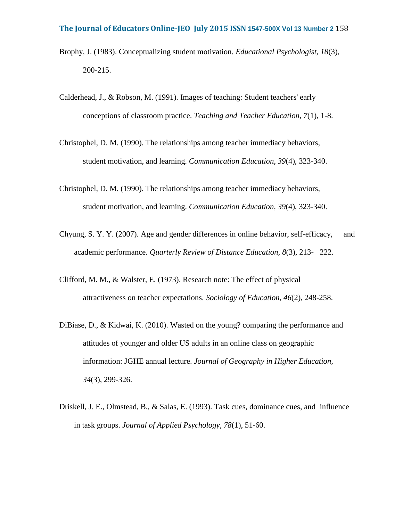- Brophy, J. (1983). Conceptualizing student motivation. *Educational Psychologist, 18*(3), 200-215.
- Calderhead, J., & Robson, M. (1991). Images of teaching: Student teachers' early conceptions of classroom practice. *Teaching and Teacher Education, 7*(1), 1-8.
- Christophel, D. M. (1990). The relationships among teacher immediacy behaviors, student motivation, and learning. *Communication Education, 39*(4), 323-340.
- Christophel, D. M. (1990). The relationships among teacher immediacy behaviors, student motivation, and learning. *Communication Education, 39*(4), 323-340.
- Chyung, S. Y. Y. (2007). Age and gender differences in online behavior, self-efficacy, and academic performance. *Quarterly Review of Distance Education, 8*(3), 213- 222.
- Clifford, M. M., & Walster, E. (1973). Research note: The effect of physical attractiveness on teacher expectations. *Sociology of Education, 46*(2), 248-258.
- DiBiase, D., & Kidwai, K. (2010). Wasted on the young? comparing the performance and attitudes of younger and older US adults in an online class on geographic information: JGHE annual lecture. *Journal of Geography in Higher Education, 34*(3), 299-326.
- Driskell, J. E., Olmstead, B., & Salas, E. (1993). Task cues, dominance cues, and influence in task groups. *Journal of Applied Psychology, 78*(1), 51-60.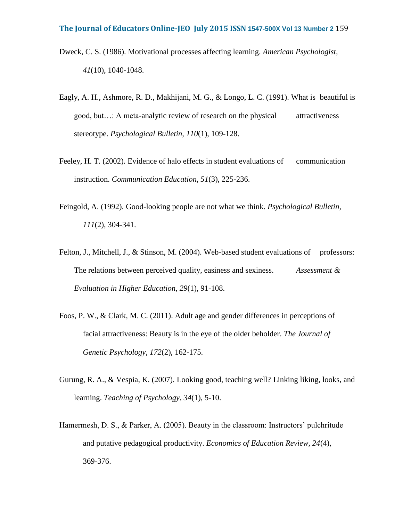- Dweck, C. S. (1986). Motivational processes affecting learning. *American Psychologist, 41*(10), 1040-1048.
- Eagly, A. H., Ashmore, R. D., Makhijani, M. G., & Longo, L. C. (1991). What is beautiful is good, but…: A meta-analytic review of research on the physical attractiveness stereotype. *Psychological Bulletin, 110*(1), 109-128.
- Feeley, H. T. (2002). Evidence of halo effects in student evaluations of communication instruction. *Communication Education, 51*(3), 225-236.
- Feingold, A. (1992). Good-looking people are not what we think. *Psychological Bulletin, 111*(2), 304-341.
- Felton, J., Mitchell, J., & Stinson, M. (2004). Web-based student evaluations of professors: The relations between perceived quality, easiness and sexiness. *Assessment & Evaluation in Higher Education, 29*(1), 91-108.
- Foos, P. W., & Clark, M. C. (2011). Adult age and gender differences in perceptions of facial attractiveness: Beauty is in the eye of the older beholder. *The Journal of Genetic Psychology, 172*(2), 162-175.
- Gurung, R. A., & Vespia, K. (2007). Looking good, teaching well? Linking liking, looks, and learning. *Teaching of Psychology, 34*(1), 5-10.
- Hamermesh, D. S., & Parker, A. (2005). Beauty in the classroom: Instructors' pulchritude and putative pedagogical productivity. *Economics of Education Review, 24*(4), 369-376.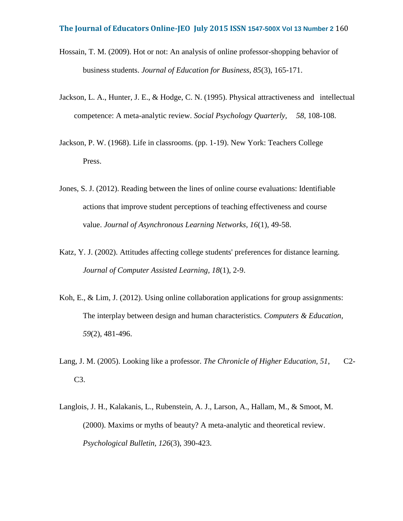- Hossain, T. M. (2009). Hot or not: An analysis of online professor-shopping behavior of business students. *Journal of Education for Business, 85*(3), 165-171.
- Jackson, L. A., Hunter, J. E., & Hodge, C. N. (1995). Physical attractiveness and intellectual competence: A meta-analytic review. *Social Psychology Quarterly, 58*, 108-108.
- Jackson, P. W. (1968). Life in classrooms. (pp. 1-19). New York: Teachers College Press.
- Jones, S. J. (2012). Reading between the lines of online course evaluations: Identifiable actions that improve student perceptions of teaching effectiveness and course value. *Journal of Asynchronous Learning Networks, 16*(1), 49-58.
- Katz, Y. J. (2002). Attitudes affecting college students' preferences for distance learning. *Journal of Computer Assisted Learning, 18*(1), 2-9.
- Koh, E., & Lim, J. (2012). Using online collaboration applications for group assignments: The interplay between design and human characteristics. *Computers & Education, 59*(2), 481-496.
- Lang, J. M. (2005). Looking like a professor. *The Chronicle of Higher Education, 51*, C2- C3.
- Langlois, J. H., Kalakanis, L., Rubenstein, A. J., Larson, A., Hallam, M., & Smoot, M. (2000). Maxims or myths of beauty? A meta-analytic and theoretical review. *Psychological Bulletin, 126*(3), 390-423.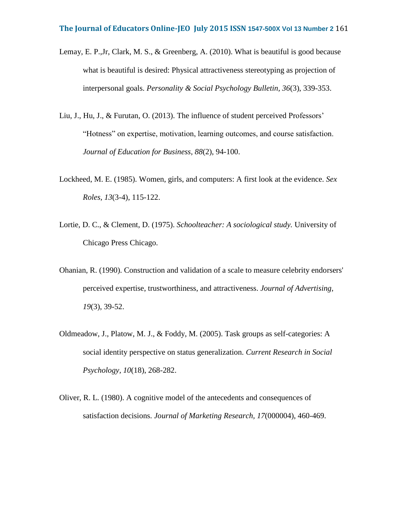- Lemay, E. P.,Jr, Clark, M. S., & Greenberg, A. (2010). What is beautiful is good because what is beautiful is desired: Physical attractiveness stereotyping as projection of interpersonal goals. *Personality & Social Psychology Bulletin, 36*(3), 339-353.
- Liu, J., Hu, J., & Furutan, O. (2013). The influence of student perceived Professors' "Hotness" on expertise, motivation, learning outcomes, and course satisfaction. *Journal of Education for Business, 88*(2), 94-100.
- Lockheed, M. E. (1985). Women, girls, and computers: A first look at the evidence. *Sex Roles, 13*(3-4), 115-122.
- Lortie, D. C., & Clement, D. (1975). *Schoolteacher: A sociological study.* University of Chicago Press Chicago.
- Ohanian, R. (1990). Construction and validation of a scale to measure celebrity endorsers' perceived expertise, trustworthiness, and attractiveness. *Journal of Advertising, 19*(3), 39-52.
- Oldmeadow, J., Platow, M. J., & Foddy, M. (2005). Task groups as self-categories: A social identity perspective on status generalization. *Current Research in Social Psychology, 10*(18), 268-282.
- Oliver, R. L. (1980). A cognitive model of the antecedents and consequences of satisfaction decisions. *Journal of Marketing Research, 17*(000004), 460-469.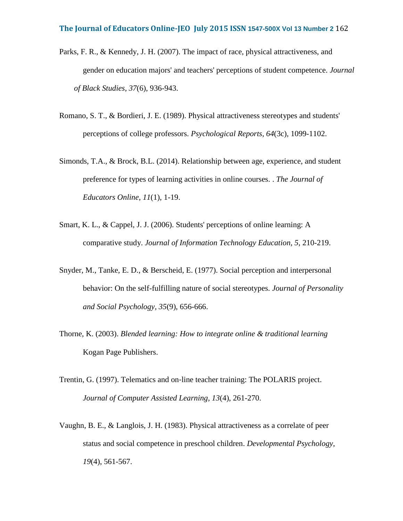- Parks, F. R., & Kennedy, J. H. (2007). The impact of race, physical attractiveness, and gender on education majors' and teachers' perceptions of student competence. *Journal of Black Studies, 37*(6), 936-943.
- Romano, S. T., & Bordieri, J. E. (1989). Physical attractiveness stereotypes and students' perceptions of college professors. *Psychological Reports, 64*(3c), 1099-1102.
- Simonds, T.A., & Brock, B.L. (2014). Relationship between age, experience, and student preference for types of learning activities in online courses. . *The Journal of Educators Online, 11*(1), 1-19.
- Smart, K. L., & Cappel, J. J. (2006). Students' perceptions of online learning: A comparative study. *Journal of Information Technology Education, 5*, 210-219.
- Snyder, M., Tanke, E. D., & Berscheid, E. (1977). Social perception and interpersonal behavior: On the self-fulfilling nature of social stereotypes. *Journal of Personality and Social Psychology, 35*(9), 656-666.
- Thorne, K. (2003). *Blended learning: How to integrate online & traditional learning* Kogan Page Publishers.
- Trentin, G. (1997). Telematics and on‐line teacher training: The POLARIS project. *Journal of Computer Assisted Learning, 13*(4), 261-270.
- Vaughn, B. E., & Langlois, J. H. (1983). Physical attractiveness as a correlate of peer status and social competence in preschool children. *Developmental Psychology, 19*(4), 561-567.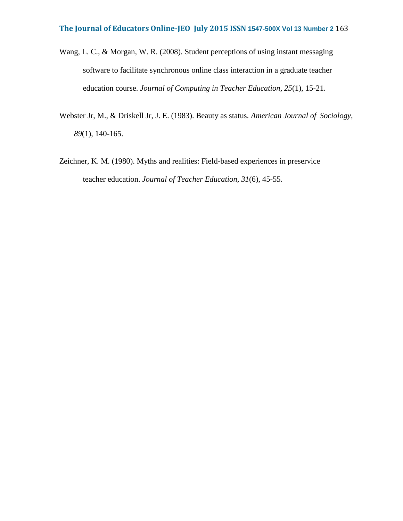- Wang, L. C., & Morgan, W. R. (2008). Student perceptions of using instant messaging software to facilitate synchronous online class interaction in a graduate teacher education course. *Journal of Computing in Teacher Education, 25*(1), 15-21.
- Webster Jr, M., & Driskell Jr, J. E. (1983). Beauty as status. *American Journal of Sociology, 89*(1), 140-165.
- Zeichner, K. M. (1980). Myths and realities: Field-based experiences in preservice teacher education. *Journal of Teacher Education, 31*(6), 45-55.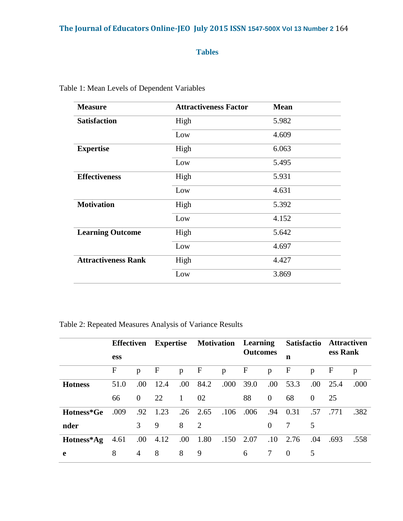# **Tables**

| <b>Measure</b>             | <b>Attractiveness Factor</b> | <b>Mean</b> |
|----------------------------|------------------------------|-------------|
| <b>Satisfaction</b>        | High                         | 5.982       |
|                            | Low                          | 4.609       |
| <b>Expertise</b>           | High                         | 6.063       |
|                            | Low                          | 5.495       |
| <b>Effectiveness</b>       | High                         | 5.931       |
|                            | Low                          | 4.631       |
| <b>Motivation</b>          | High                         | 5.392       |
|                            | Low                          | 4.152       |
| <b>Learning Outcome</b>    | High                         | 5.642       |
|                            | Low                          | 4.697       |
| <b>Attractiveness Rank</b> | High                         | 4.427       |
|                            | Low                          | 3.869       |

Table 1: Mean Levels of Dependent Variables

Table 2: Repeated Measures Analysis of Variance Results

|                | <b>Effectiven</b> |               | <b>Expertise</b> |              | <b>Motivation</b> Learning |      |                 |                | <b>Satisfactio</b> |          | <b>Attractiven</b> |      |
|----------------|-------------------|---------------|------------------|--------------|----------------------------|------|-----------------|----------------|--------------------|----------|--------------------|------|
|                | <b>ess</b>        |               |                  |              |                            |      | <b>Outcomes</b> |                | n                  |          | ess Rank           |      |
|                | $\mathbf{F}$      | p             | F                | p            | $\mathbf{F}$               | p    | F               | p              | F                  | p        | $\mathbf F$        | p    |
| <b>Hotness</b> | 51.0              | .00.          | 12.4             | .00.         | 84.2                       | .000 | 39.0            | .00.           | 53.3               | .00.     | 25.4               | .000 |
|                | 66                | $\theta$      | 22               | $\mathbf{1}$ | 02                         |      | 88              | $\overline{0}$ | 68                 | $\theta$ | 25                 |      |
| Hotness*Ge     | .009              | .92           | 1.23             |              | $.26 \quad 2.65$           | .106 | .006            | .94            | 0.31               | .57      | .771               | .382 |
| nder           |                   | $\mathcal{F}$ | 9                | 8            | $\overline{2}$             |      |                 | $\theta$       |                    | 5        |                    |      |
| Hotness*Ag     | 4.61              | .00.          | 4.12             | .00.         | 1.80                       | .150 | 2.07            | $.10\,$        | 2.76               | .04      | .693               | .558 |
| e              | 8                 | 4             | 8                | 8            | 9                          |      | 6               | 7              | $\Omega$           | 5        |                    |      |